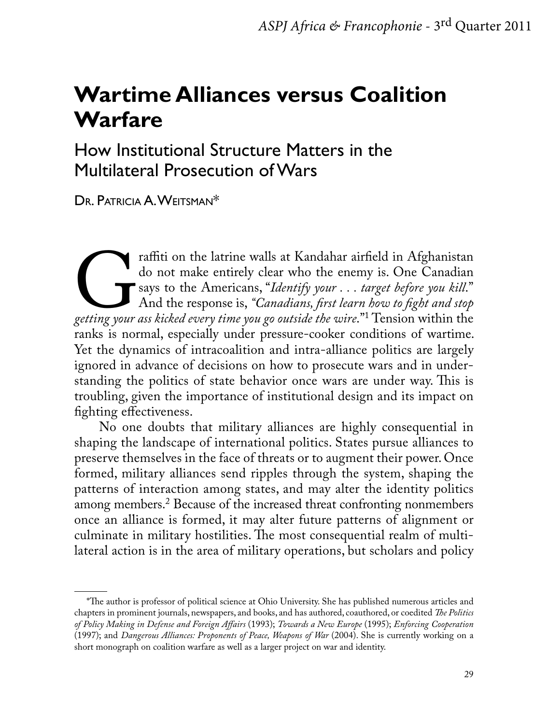# **Wartime Alliances versus Coalition Warfare**

How Institutional Structure Matters in the Multilateral Prosecution of Wars

Dr. Patricia A. Weitsman\*

Fraffiti on the latrine walls at Kandahar airfield in Afghanistan<br>do not make entirely clear who the enemy is. One Canadian<br>says to the Americans, "*Identify your* ... target before you kill."<br>And the response is, "*Canadi* do not make entirely clear who the enemy is. One Canadian says to the Americans, "*Identify your . . . target before you kill*." And the response is, *"Canadians, first learn how to fight and stop getting your ass kicked every time you go outside the wire*."1 Tension within the ranks is normal, especially under pressure-cooker conditions of wartime. Yet the dynamics of intracoalition and intra-alliance politics are largely ignored in advance of decisions on how to prosecute wars and in understanding the politics of state behavior once wars are under way. This is troubling, given the importance of institutional design and its impact on fighting effectiveness.

No one doubts that military alliances are highly consequential in shaping the landscape of international politics. States pursue alliances to preserve themselves in the face of threats or to augment their power. Once formed, military alliances send ripples through the system, shaping the patterns of interaction among states, and may alter the identity politics among members.2 Because of the increased threat confronting nonmembers once an alliance is formed, it may alter future patterns of alignment or culminate in military hostilities. The most consequential realm of multilateral action is in the area of military operations, but scholars and policy

<sup>\*</sup>The author is professor of political science at Ohio University. She has published numerous articles and chapters in prominent journals, newspapers, and books, and has authored, coauthored, or coedited *The Politics of Policy Making in Defense and Foreign Affairs* (1993); *Towards a New Europe* (1995); *Enforcing Cooperation*  (1997); and *Dangerous Alliances: Proponents of Peace, Weapons of War* (2004). She is currently working on a short monograph on coalition warfare as well as a larger project on war and identity.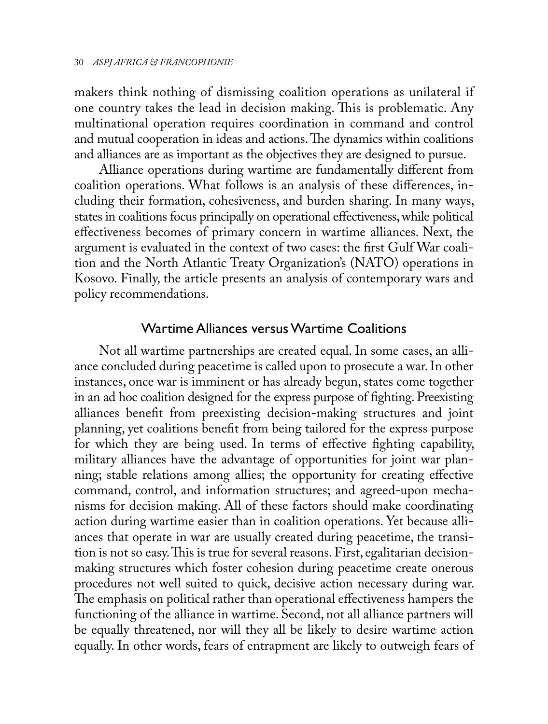makers think nothing of dismissing coalition operations as unilateral if one country takes the lead in decision making. This is problematic. Any multinational operation requires coordination in command and control and mutual cooperation in ideas and actions. The dynamics within coalitions and alliances are as important as the objectives they are designed to pursue.

Alliance operations during wartime are fundamentally different from coalition operations. What follows is an analysis of these differences, including their formation, cohesiveness, and burden sharing. In many ways, states in coalitions focus principally on operational effectiveness, while political effectiveness becomes of primary concern in wartime alliances. Next, the argument is evaluated in the context of two cases: the first Gulf War coalition and the North Atlantic Treaty Organization's (NATO) operations in Kosovo. Finally, the article presents an analysis of contemporary wars and policy recommendations.

## Wartime Alliances versus Wartime Coalitions

Not all wartime partnerships are created equal. In some cases, an alliance concluded during peacetime is called upon to prosecute a war. In other instances, once war is imminent or has already begun, states come together in an ad hoc coalition designed for the express purpose of fighting. Preexisting alliances benefit from preexisting decision-making structures and joint planning, yet coalitions benefit from being tailored for the express purpose for which they are being used. In terms of effective fighting capability, military alliances have the advantage of opportunities for joint war planning; stable relations among allies; the opportunity for creating effective command, control, and information structures; and agreed-upon mechanisms for decision making. All of these factors should make coordinating action during wartime easier than in coalition operations. Yet because alliances that operate in war are usually created during peacetime, the transition is not so easy. This is true for several reasons. First, egalitarian decisionmaking structures which foster cohesion during peacetime create onerous procedures not well suited to quick, decisive action necessary during war. The emphasis on political rather than operational effectiveness hampers the functioning of the alliance in wartime. Second, not all alliance partners will be equally threatened, nor will they all be likely to desire wartime action equally. In other words, fears of entrapment are likely to outweigh fears of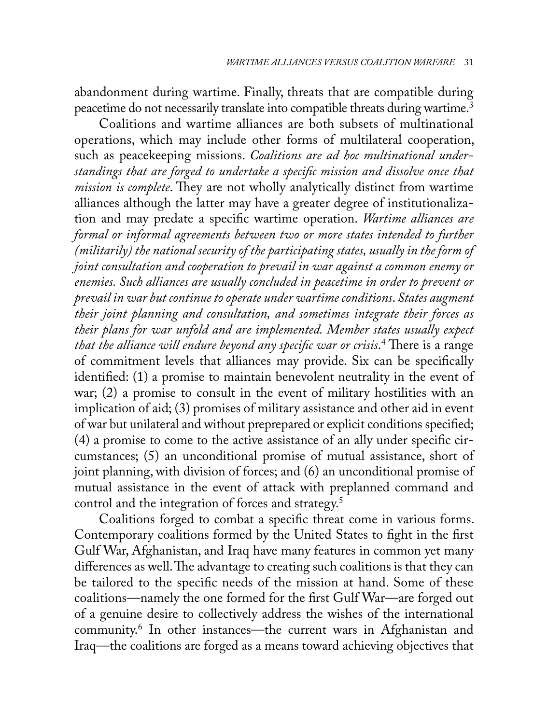abandonment during wartime. Finally, threats that are compatible during peacetime do not necessarily translate into compatible threats during wartime.3

Coalitions and wartime alliances are both subsets of multinational operations, which may include other forms of multilateral cooperation, such as peacekeeping missions. *Coalitions are ad hoc multinational understandings that are forged to undertake a specific mission and dissolve once that mission is complete*. They are not wholly analytically distinct from wartime alliances although the latter may have a greater degree of institutionalization and may predate a specific wartime operation. *Wartime alliances are formal or informal agreements between two or more states intended to further (militarily) the national security of the participating states, usually in the form of joint consultation and cooperation to prevail in war against a common enemy or enemies. Such alliances are usually concluded in peacetime in order to prevent or prevail in war but continue to operate under wartime conditions*. *States augment their joint planning and consultation, and sometimes integrate their forces as their plans for war unfold and are implemented. Member states usually expect that the alliance will endure beyond any specific war or crisis*. 4 There is a range of commitment levels that alliances may provide. Six can be specifically identified: (1) a promise to maintain benevolent neutrality in the event of war; (2) a promise to consult in the event of military hostilities with an implication of aid; (3) promises of military assistance and other aid in event of war but unilateral and without preprepared or explicit conditions specified; (4) a promise to come to the active assistance of an ally under specific circumstances; (5) an unconditional promise of mutual assistance, short of joint planning, with division of forces; and (6) an unconditional promise of mutual assistance in the event of attack with preplanned command and control and the integration of forces and strategy.5

Coalitions forged to combat a specific threat come in various forms. Contemporary coalitions formed by the United States to fight in the first Gulf War, Afghanistan, and Iraq have many features in common yet many differences as well. The advantage to creating such coalitions is that they can be tailored to the specific needs of the mission at hand. Some of these coalitions—namely the one formed for the first Gulf War—are forged out of a genuine desire to collectively address the wishes of the international community.6 In other instances—the current wars in Afghanistan and Iraq—the coalitions are forged as a means toward achieving objectives that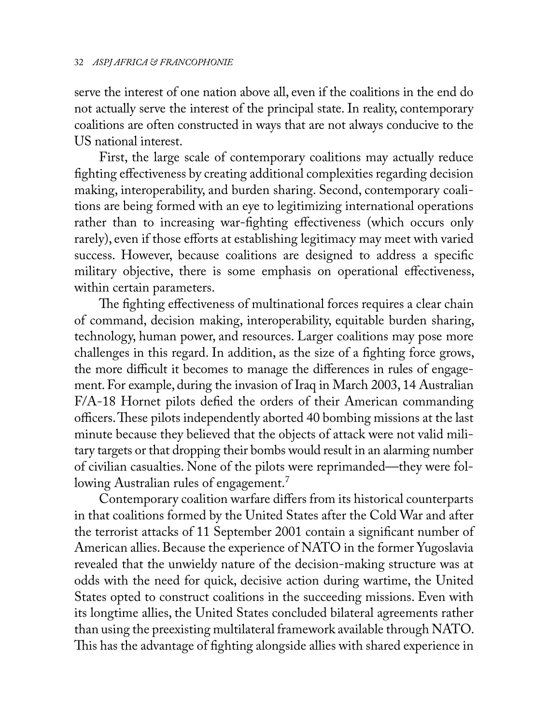serve the interest of one nation above all, even if the coalitions in the end do not actually serve the interest of the principal state. In reality, contemporary coalitions are often constructed in ways that are not always conducive to the US national interest.

First, the large scale of contemporary coalitions may actually reduce fighting effectiveness by creating additional complexities regarding decision making, interoperability, and burden sharing. Second, contemporary coalitions are being formed with an eye to legitimizing international operations rather than to increasing war-fighting effectiveness (which occurs only rarely), even if those efforts at establishing legitimacy may meet with varied success. However, because coalitions are designed to address a specific military objective, there is some emphasis on operational effectiveness, within certain parameters.

The fighting effectiveness of multinational forces requires a clear chain of command, decision making, interoperability, equitable burden sharing, technology, human power, and resources. Larger coalitions may pose more challenges in this regard. In addition, as the size of a fighting force grows, the more difficult it becomes to manage the differences in rules of engagement. For example, during the invasion of Iraq in March 2003, 14 Australian F/A-18 Hornet pilots defied the orders of their American commanding officers. These pilots independently aborted 40 bombing missions at the last minute because they believed that the objects of attack were not valid military targets or that dropping their bombs would result in an alarming number of civilian casualties. None of the pilots were reprimanded—they were following Australian rules of engagement.<sup>7</sup>

Contemporary coalition warfare differs from its historical counterparts in that coalitions formed by the United States after the Cold War and after the terrorist attacks of 11 September 2001 contain a significant number of American allies. Because the experience of NATO in the former Yugoslavia revealed that the unwieldy nature of the decision-making structure was at odds with the need for quick, decisive action during wartime, the United States opted to construct coalitions in the succeeding missions. Even with its longtime allies, the United States concluded bilateral agreements rather than using the preexisting multilateral framework available through NATO. This has the advantage of fighting alongside allies with shared experience in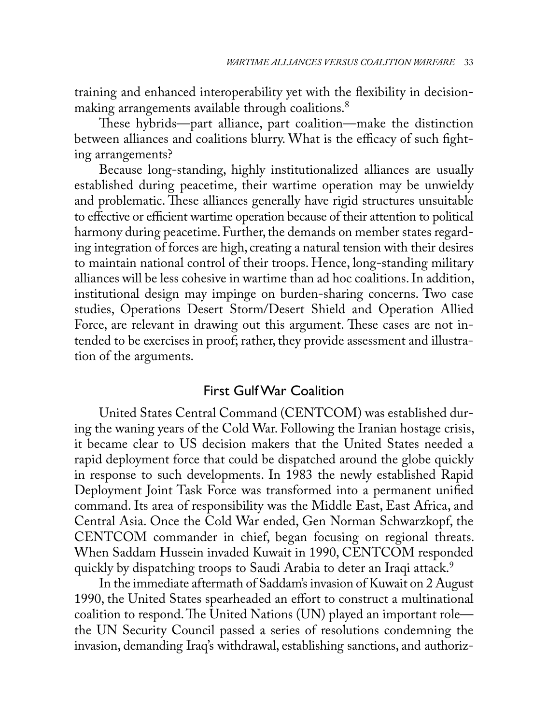training and enhanced interoperability yet with the flexibility in decisionmaking arrangements available through coalitions.<sup>8</sup>

These hybrids—part alliance, part coalition—make the distinction between alliances and coalitions blurry. What is the efficacy of such fighting arrangements?

Because long-standing, highly institutionalized alliances are usually established during peacetime, their wartime operation may be unwieldy and problematic. These alliances generally have rigid structures unsuitable to effective or efficient wartime operation because of their attention to political harmony during peacetime. Further, the demands on member states regarding integration of forces are high, creating a natural tension with their desires to maintain national control of their troops. Hence, long-standing military alliances will be less cohesive in wartime than ad hoc coalitions. In addition, institutional design may impinge on burden-sharing concerns. Two case studies, Operations Desert Storm/Desert Shield and Operation Allied Force, are relevant in drawing out this argument. These cases are not intended to be exercises in proof; rather, they provide assessment and illustration of the arguments.

## First Gulf War Coalition

United States Central Command (CENTCOM) was established during the waning years of the Cold War. Following the Iranian hostage crisis, it became clear to US decision makers that the United States needed a rapid deployment force that could be dispatched around the globe quickly in response to such developments. In 1983 the newly established Rapid Deployment Joint Task Force was transformed into a permanent unified command. Its area of responsibility was the Middle East, East Africa, and Central Asia. Once the Cold War ended, Gen Norman Schwarzkopf, the CENTCOM commander in chief, began focusing on regional threats. When Saddam Hussein invaded Kuwait in 1990, CENTCOM responded quickly by dispatching troops to Saudi Arabia to deter an Iraqi attack.<sup>9</sup>

In the immediate aftermath of Saddam's invasion of Kuwait on 2 August 1990, the United States spearheaded an effort to construct a multinational coalition to respond. The United Nations (UN) played an important role the UN Security Council passed a series of resolutions condemning the invasion, demanding Iraq's withdrawal, establishing sanctions, and authoriz-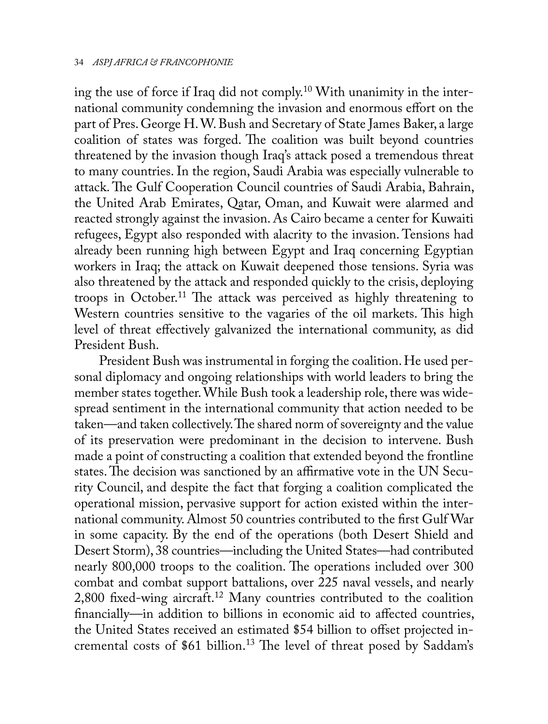ing the use of force if Iraq did not comply.10 With unanimity in the international community condemning the invasion and enormous effort on the part of Pres. George H. W. Bush and Secretary of State James Baker, a large coalition of states was forged. The coalition was built beyond countries threatened by the invasion though Iraq's attack posed a tremendous threat to many countries. In the region, Saudi Arabia was especially vulnerable to attack. The Gulf Cooperation Council countries of Saudi Arabia, Bahrain, the United Arab Emirates, Qatar, Oman, and Kuwait were alarmed and reacted strongly against the invasion. As Cairo became a center for Kuwaiti refugees, Egypt also responded with alacrity to the invasion. Tensions had already been running high between Egypt and Iraq concerning Egyptian workers in Iraq; the attack on Kuwait deepened those tensions. Syria was also threatened by the attack and responded quickly to the crisis, deploying troops in October.<sup>11</sup> The attack was perceived as highly threatening to Western countries sensitive to the vagaries of the oil markets. This high level of threat effectively galvanized the international community, as did President Bush.

President Bush was instrumental in forging the coalition. He used personal diplomacy and ongoing relationships with world leaders to bring the member states together. While Bush took a leadership role, there was widespread sentiment in the international community that action needed to be taken—and taken collectively. The shared norm of sovereignty and the value of its preservation were predominant in the decision to intervene. Bush made a point of constructing a coalition that extended beyond the frontline states. The decision was sanctioned by an affirmative vote in the UN Security Council, and despite the fact that forging a coalition complicated the operational mission, pervasive support for action existed within the international community. Almost 50 countries contributed to the first Gulf War in some capacity. By the end of the operations (both Desert Shield and Desert Storm), 38 countries—including the United States—had contributed nearly 800,000 troops to the coalition. The operations included over 300 combat and combat support battalions, over 225 naval vessels, and nearly 2,800 fixed-wing aircraft.12 Many countries contributed to the coalition financially—in addition to billions in economic aid to affected countries, the United States received an estimated \$54 billion to offset projected incremental costs of \$61 billion.<sup>13</sup> The level of threat posed by Saddam's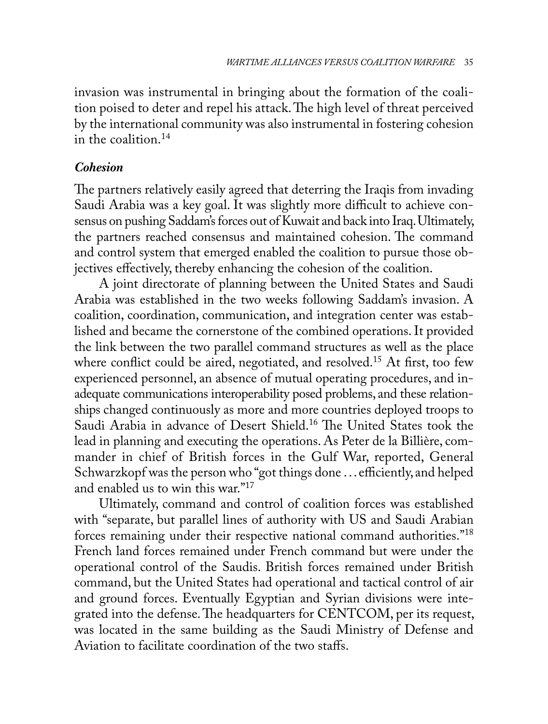invasion was instrumental in bringing about the formation of the coalition poised to deter and repel his attack. The high level of threat perceived by the international community was also instrumental in fostering cohesion in the coalition.<sup>14</sup>

## *Cohesion*

The partners relatively easily agreed that deterring the Iraqis from invading Saudi Arabia was a key goal. It was slightly more difficult to achieve consensus on pushing Saddam's forces out of Kuwait and back into Iraq. Ultimately, the partners reached consensus and maintained cohesion. The command and control system that emerged enabled the coalition to pursue those objectives effectively, thereby enhancing the cohesion of the coalition.

A joint directorate of planning between the United States and Saudi Arabia was established in the two weeks following Saddam's invasion. A coalition, coordination, communication, and integration center was established and became the cornerstone of the combined operations. It provided the link between the two parallel command structures as well as the place where conflict could be aired, negotiated, and resolved.<sup>15</sup> At first, too few experienced personnel, an absence of mutual operating procedures, and inadequate communications interoperability posed problems, and these relationships changed continuously as more and more countries deployed troops to Saudi Arabia in advance of Desert Shield.<sup>16</sup> The United States took the lead in planning and executing the operations. As Peter de la Billière, commander in chief of British forces in the Gulf War, reported, General Schwarzkopf was the person who "got things done . . . efficiently, and helped and enabled us to win this war."17

Ultimately, command and control of coalition forces was established with "separate, but parallel lines of authority with US and Saudi Arabian forces remaining under their respective national command authorities."<sup>18</sup> French land forces remained under French command but were under the operational control of the Saudis. British forces remained under British command, but the United States had operational and tactical control of air and ground forces. Eventually Egyptian and Syrian divisions were integrated into the defense. The headquarters for CENTCOM, per its request, was located in the same building as the Saudi Ministry of Defense and Aviation to facilitate coordination of the two staffs.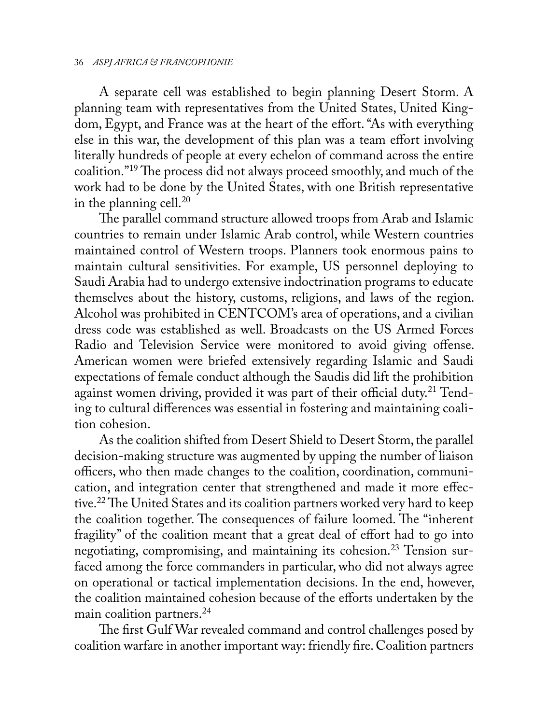A separate cell was established to begin planning Desert Storm. A planning team with representatives from the United States, United Kingdom, Egypt, and France was at the heart of the effort. "As with everything else in this war, the development of this plan was a team effort involving literally hundreds of people at every echelon of command across the entire coalition."19 The process did not always proceed smoothly, and much of the work had to be done by the United States, with one British representative in the planning cell. $^{20}$ 

The parallel command structure allowed troops from Arab and Islamic countries to remain under Islamic Arab control, while Western countries maintained control of Western troops. Planners took enormous pains to maintain cultural sensitivities. For example, US personnel deploying to Saudi Arabia had to undergo extensive indoctrination programs to educate themselves about the history, customs, religions, and laws of the region. Alcohol was prohibited in CENTCOM's area of operations, and a civilian dress code was established as well. Broadcasts on the US Armed Forces Radio and Television Service were monitored to avoid giving offense. American women were briefed extensively regarding Islamic and Saudi expectations of female conduct although the Saudis did lift the prohibition against women driving, provided it was part of their official duty.<sup>21</sup> Tending to cultural differences was essential in fostering and maintaining coalition cohesion.

As the coalition shifted from Desert Shield to Desert Storm, the parallel decision-making structure was augmented by upping the number of liaison officers, who then made changes to the coalition, coordination, communication, and integration center that strengthened and made it more effective.<sup>22</sup> The United States and its coalition partners worked very hard to keep the coalition together. The consequences of failure loomed. The "inherent fragility" of the coalition meant that a great deal of effort had to go into negotiating, compromising, and maintaining its cohesion.<sup>23</sup> Tension surfaced among the force commanders in particular, who did not always agree on operational or tactical implementation decisions. In the end, however, the coalition maintained cohesion because of the efforts undertaken by the main coalition partners.<sup>24</sup>

The first Gulf War revealed command and control challenges posed by coalition warfare in another important way: friendly fire. Coalition partners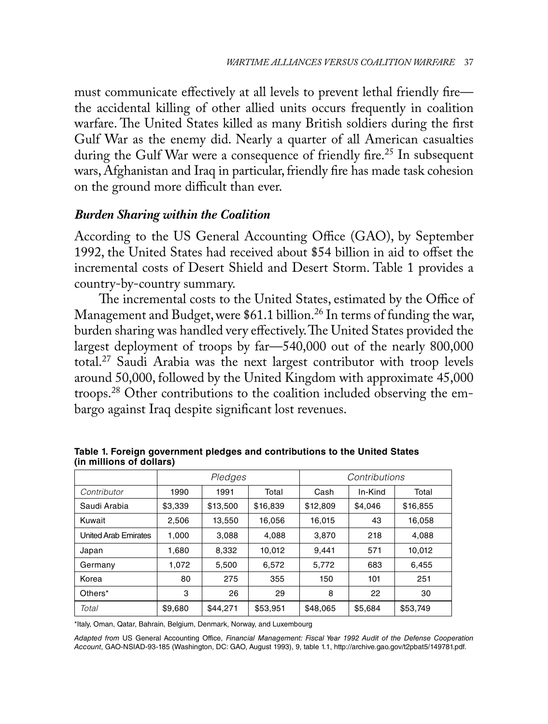must communicate effectively at all levels to prevent lethal friendly fire the accidental killing of other allied units occurs frequently in coalition warfare. The United States killed as many British soldiers during the first Gulf War as the enemy did. Nearly a quarter of all American casualties during the Gulf War were a consequence of friendly fire.<sup>25</sup> In subsequent wars, Afghanistan and Iraq in particular, friendly fire has made task cohesion on the ground more difficult than ever.

## *Burden Sharing within the Coalition*

According to the US General Accounting Office (GAO), by September 1992, the United States had received about \$54 billion in aid to offset the incremental costs of Desert Shield and Desert Storm. Table 1 provides a country-by-country summary.

The incremental costs to the United States, estimated by the Office of Management and Budget, were \$61.1 billion.<sup>26</sup> In terms of funding the war, burden sharing was handled very effectively. The United States provided the largest deployment of troops by far—540,000 out of the nearly 800,000 total.27 Saudi Arabia was the next largest contributor with troop levels around 50,000, followed by the United Kingdom with approximate 45,000 troops.28 Other contributions to the coalition included observing the embargo against Iraq despite significant lost revenues.

|                             | Pledges |          |          | Contributions |         |          |
|-----------------------------|---------|----------|----------|---------------|---------|----------|
| Contributor                 | 1990    | 1991     | Total    | Cash          | In-Kind | Total    |
| Saudi Arabia                | \$3,339 | \$13,500 | \$16,839 | \$12,809      | \$4.046 | \$16,855 |
| Kuwait                      | 2,506   | 13,550   | 16,056   | 16,015        | 43      | 16,058   |
| <b>United Arab Emirates</b> | 1.000   | 3,088    | 4,088    | 3,870         | 218     | 4,088    |
| Japan                       | 1,680   | 8,332    | 10,012   | 9.441         | 571     | 10.012   |
| Germany                     | 1.072   | 5,500    | 6,572    | 5,772         | 683     | 6,455    |
| Korea                       | 80      | 275      | 355      | 150           | 101     | 251      |
| Others*                     | 3       | 26       | 29       | 8             | 22      | 30       |
| Total                       | \$9,680 | \$44.271 | \$53,951 | \$48,065      | \$5,684 | \$53,749 |

**Table 1. Foreign government pledges and contributions to the United States (in millions of dollars)** 

\*Italy, Oman, Qatar, Bahrain, Belgium, Denmark, Norway, and Luxembourg

*Adapted from* US General Accounting Office, *Financial Management: Fiscal Year 1992 Audit of the Defense Cooperation Account*, GAO-NSIAD-93-185 (Washington, DC: GAO, August 1993), 9, table 1.1, http://archive.gao.gov/t2pbat5/149781.pdf.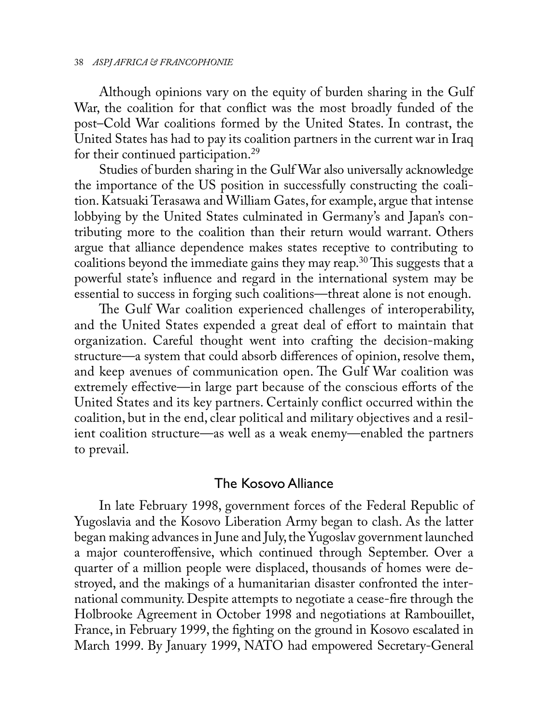Although opinions vary on the equity of burden sharing in the Gulf War, the coalition for that conflict was the most broadly funded of the post–Cold War coalitions formed by the United States. In contrast, the United States has had to pay its coalition partners in the current war in Iraq for their continued participation.29

Studies of burden sharing in the Gulf War also universally acknowledge the importance of the US position in successfully constructing the coalition. Katsuaki Terasawa and William Gates, for example, argue that intense lobbying by the United States culminated in Germany's and Japan's contributing more to the coalition than their return would warrant. Others argue that alliance dependence makes states receptive to contributing to coalitions beyond the immediate gains they may reap.<sup>30</sup> This suggests that a powerful state's influence and regard in the international system may be essential to success in forging such coalitions—threat alone is not enough.

The Gulf War coalition experienced challenges of interoperability, and the United States expended a great deal of effort to maintain that organization. Careful thought went into crafting the decision-making structure—a system that could absorb differences of opinion, resolve them, and keep avenues of communication open. The Gulf War coalition was extremely effective—in large part because of the conscious efforts of the United States and its key partners. Certainly conflict occurred within the coalition, but in the end, clear political and military objectives and a resilient coalition structure—as well as a weak enemy—enabled the partners to prevail.

## The Kosovo Alliance

In late February 1998, government forces of the Federal Republic of Yugoslavia and the Kosovo Liberation Army began to clash. As the latter began making advances in June and July, the Yugoslav government launched a major counteroffensive, which continued through September. Over a quarter of a million people were displaced, thousands of homes were destroyed, and the makings of a humanitarian disaster confronted the international community. Despite attempts to negotiate a cease-fire through the Holbrooke Agreement in October 1998 and negotiations at Rambouillet, France, in February 1999, the fighting on the ground in Kosovo escalated in March 1999. By January 1999, NATO had empowered Secretary-General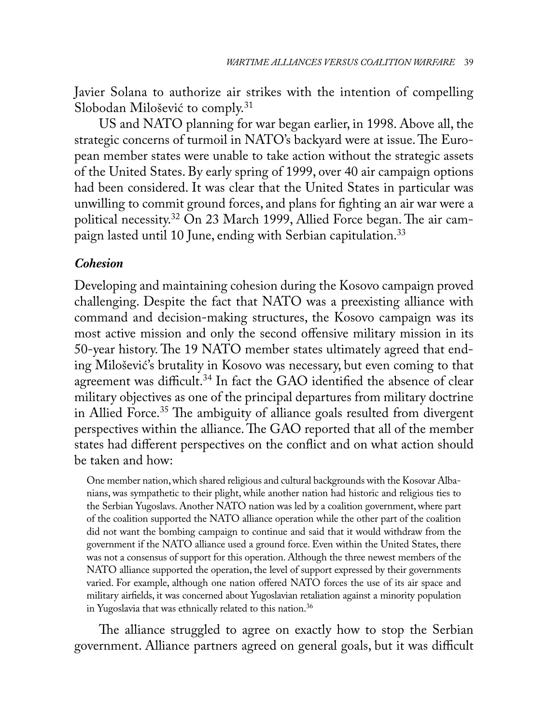Javier Solana to authorize air strikes with the intention of compelling Slobodan Milošević to comply.<sup>31</sup>

US and NATO planning for war began earlier, in 1998. Above all, the strategic concerns of turmoil in NATO's backyard were at issue. The European member states were unable to take action without the strategic assets of the United States. By early spring of 1999, over 40 air campaign options had been considered. It was clear that the United States in particular was unwilling to commit ground forces, and plans for fighting an air war were a political necessity.32 On 23 March 1999, Allied Force began. The air campaign lasted until 10 June, ending with Serbian capitulation.<sup>33</sup>

## *Cohesion*

Developing and maintaining cohesion during the Kosovo campaign proved challenging. Despite the fact that NATO was a preexisting alliance with command and decision-making structures, the Kosovo campaign was its most active mission and only the second offensive military mission in its 50-year history. The 19 NATO member states ultimately agreed that ending Milošević's brutality in Kosovo was necessary, but even coming to that agreement was difficult.<sup>34</sup> In fact the GAO identified the absence of clear military objectives as one of the principal departures from military doctrine in Allied Force.<sup>35</sup> The ambiguity of alliance goals resulted from divergent perspectives within the alliance. The GAO reported that all of the member states had different perspectives on the conflict and on what action should be taken and how:

One member nation, which shared religious and cultural backgrounds with the Kosovar Albanians, was sympathetic to their plight, while another nation had historic and religious ties to the Serbian Yugoslavs. Another NATO nation was led by a coalition government, where part of the coalition supported the NATO alliance operation while the other part of the coalition did not want the bombing campaign to continue and said that it would withdraw from the government if the NATO alliance used a ground force. Even within the United States, there was not a consensus of support for this operation. Although the three newest members of the NATO alliance supported the operation, the level of support expressed by their governments varied. For example, although one nation offered NATO forces the use of its air space and military airfields, it was concerned about Yugoslavian retaliation against a minority population in Yugoslavia that was ethnically related to this nation.<sup>36</sup>

The alliance struggled to agree on exactly how to stop the Serbian government. Alliance partners agreed on general goals, but it was difficult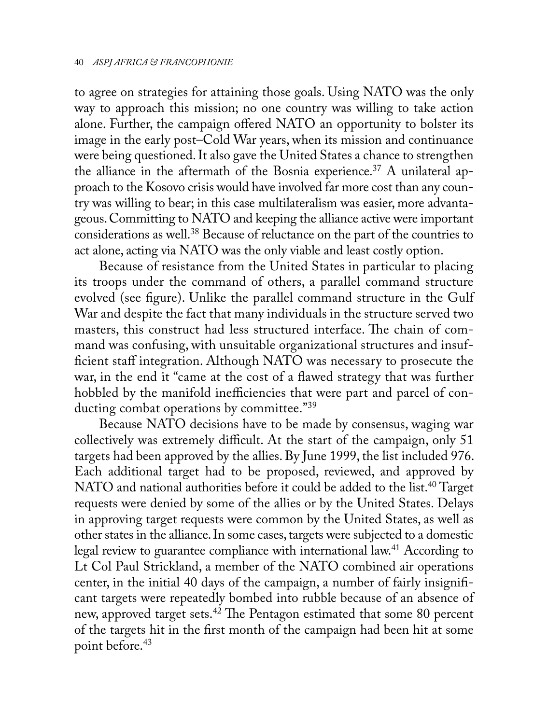to agree on strategies for attaining those goals. Using NATO was the only way to approach this mission; no one country was willing to take action alone. Further, the campaign offered NATO an opportunity to bolster its image in the early post–Cold War years, when its mission and continuance were being questioned. It also gave the United States a chance to strengthen the alliance in the aftermath of the Bosnia experience.<sup>37</sup> A unilateral approach to the Kosovo crisis would have involved far more cost than any country was willing to bear; in this case multilateralism was easier, more advantageous. Committing to NATO and keeping the alliance active were important considerations as well.38 Because of reluctance on the part of the countries to act alone, acting via NATO was the only viable and least costly option.

Because of resistance from the United States in particular to placing its troops under the command of others, a parallel command structure evolved (see figure). Unlike the parallel command structure in the Gulf War and despite the fact that many individuals in the structure served two masters, this construct had less structured interface. The chain of command was confusing, with unsuitable organizational structures and insufficient staff integration. Although NATO was necessary to prosecute the war, in the end it "came at the cost of a flawed strategy that was further hobbled by the manifold inefficiencies that were part and parcel of conducting combat operations by committee."<sup>39</sup>

Because NATO decisions have to be made by consensus, waging war collectively was extremely difficult. At the start of the campaign, only 51 targets had been approved by the allies. By June 1999, the list included 976. Each additional target had to be proposed, reviewed, and approved by NATO and national authorities before it could be added to the list.<sup>40</sup> Target requests were denied by some of the allies or by the United States. Delays in approving target requests were common by the United States, as well as other states in the alliance. In some cases, targets were subjected to a domestic legal review to guarantee compliance with international law.<sup>41</sup> According to Lt Col Paul Strickland, a member of the NATO combined air operations center, in the initial 40 days of the campaign, a number of fairly insignificant targets were repeatedly bombed into rubble because of an absence of new, approved target sets.42 The Pentagon estimated that some 80 percent of the targets hit in the first month of the campaign had been hit at some point before.<sup>43</sup>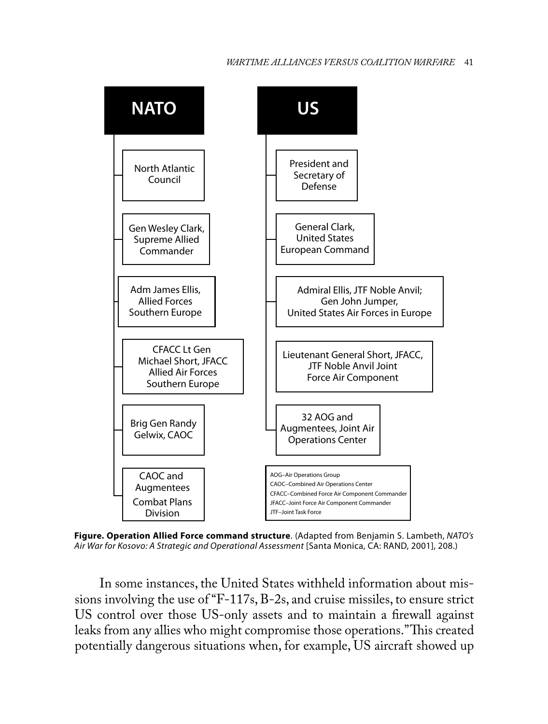## *WARTIME ALLIANCES VERSUS COALITION WARFARE* 41



**Figure. Operation Allied Force command structure**. (Adapted from Benjamin S. Lambeth, *NATO's Air War for Kosovo: A Strategic and Operational Assessment* [Santa Monica, CA: RAND, 2001], 208.)

In some instances, the United States withheld information about missions involving the use of "F-117s, B-2s, and cruise missiles, to ensure strict US control over those US-only assets and to maintain a firewall against leaks from any allies who might compromise those operations." This created potentially dangerous situations when, for example, US aircraft showed up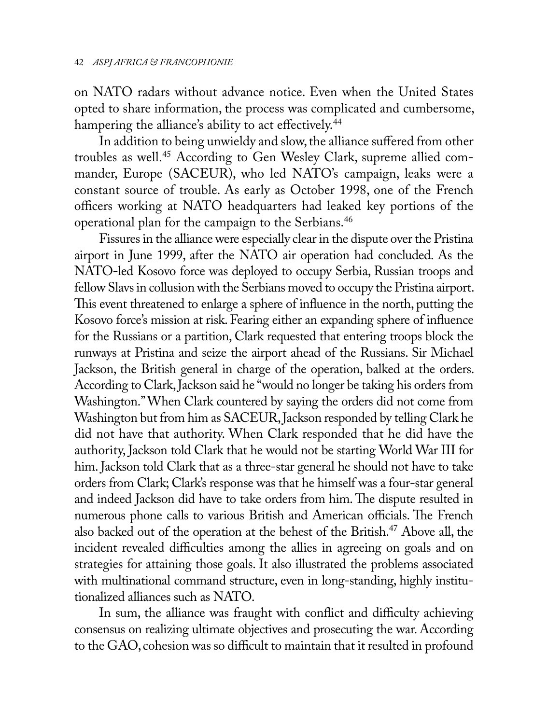on NATO radars without advance notice. Even when the United States opted to share information, the process was complicated and cumbersome, hampering the alliance's ability to act effectively.<sup>44</sup>

In addition to being unwieldy and slow, the alliance suffered from other troubles as well.45 According to Gen Wesley Clark, supreme allied commander, Europe (SACEUR), who led NATO's campaign, leaks were a constant source of trouble. As early as October 1998, one of the French officers working at NATO headquarters had leaked key portions of the operational plan for the campaign to the Serbians.46

Fissures in the alliance were especially clear in the dispute over the Pristina airport in June 1999, after the NATO air operation had concluded. As the NATO-led Kosovo force was deployed to occupy Serbia, Russian troops and fellow Slavs in collusion with the Serbians moved to occupy the Pristina airport. This event threatened to enlarge a sphere of influence in the north, putting the Kosovo force's mission at risk. Fearing either an expanding sphere of influence for the Russians or a partition, Clark requested that entering troops block the runways at Pristina and seize the airport ahead of the Russians. Sir Michael Jackson, the British general in charge of the operation, balked at the orders. According to Clark, Jackson said he "would no longer be taking his orders from Washington." When Clark countered by saying the orders did not come from Washington but from him as SACEUR, Jackson responded by telling Clark he did not have that authority. When Clark responded that he did have the authority, Jackson told Clark that he would not be starting World War III for him. Jackson told Clark that as a three-star general he should not have to take orders from Clark; Clark's response was that he himself was a four-star general and indeed Jackson did have to take orders from him. The dispute resulted in numerous phone calls to various British and American officials. The French also backed out of the operation at the behest of the British.47 Above all, the incident revealed difficulties among the allies in agreeing on goals and on strategies for attaining those goals. It also illustrated the problems associated with multinational command structure, even in long-standing, highly institutionalized alliances such as NATO.

In sum, the alliance was fraught with conflict and difficulty achieving consensus on realizing ultimate objectives and prosecuting the war. According to the GAO, cohesion was so difficult to maintain that it resulted in profound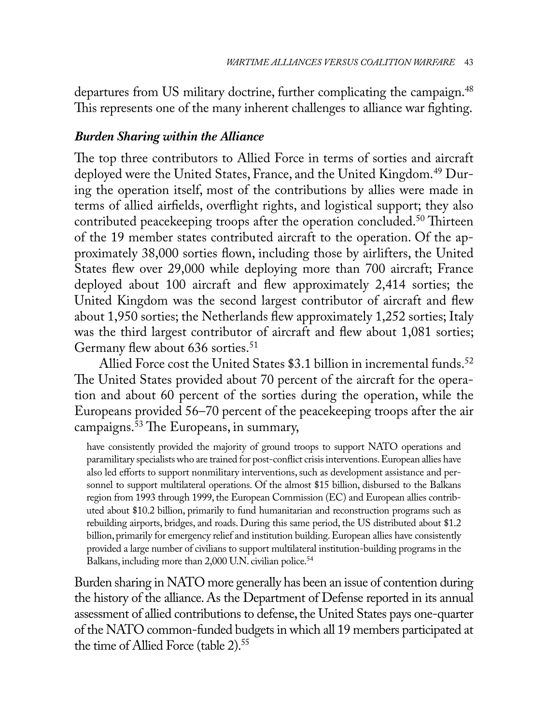departures from US military doctrine, further complicating the campaign.<sup>48</sup> This represents one of the many inherent challenges to alliance war fighting.

# *Burden Sharing within the Alliance*

The top three contributors to Allied Force in terms of sorties and aircraft deployed were the United States, France, and the United Kingdom.<sup>49</sup> During the operation itself, most of the contributions by allies were made in terms of allied airfields, overflight rights, and logistical support; they also contributed peace keeping troops after the operation concluded.<sup>50</sup> Thirteen of the 19 member states contributed aircraft to the operation. Of the approximately 38,000 sorties flown, including those by airlifters, the United States flew over 29,000 while deploying more than 700 aircraft; France deployed about 100 aircraft and flew approximately 2,414 sorties; the United Kingdom was the second largest contributor of aircraft and flew about 1,950 sorties; the Netherlands flew approximately 1,252 sorties; Italy was the third largest contributor of aircraft and flew about 1,081 sorties; Germany flew about 636 sorties.<sup>51</sup>

Allied Force cost the United States \$3.1 billion in incremental funds.<sup>52</sup> The United States provided about 70 percent of the aircraft for the operation and about 60 percent of the sorties during the operation, while the Europeans provided 56–70 percent of the peacekeeping troops after the air campaigns.53 The Europeans, in summary,

have consistently provided the majority of ground troops to support NATO operations and paramilitary specialists who are trained for post-conflict crisis interventions. European allies have also led efforts to support nonmilitary interventions, such as development assistance and personnel to support multilateral operations. Of the almost \$15 billion, disbursed to the Balkans region from 1993 through 1999, the European Commission (EC) and European allies contributed about \$10.2 billion, primarily to fund humanitarian and reconstruction programs such as rebuilding airports, bridges, and roads. During this same period, the US distributed about \$1.2 billion, primarily for emergency relief and institution building. European allies have consistently provided a large number of civilians to support multilateral institution-building programs in the Balkans, including more than 2,000 U.N. civilian police.<sup>54</sup>

Burden sharing in NATO more generally has been an issue of contention during the history of the alliance. As the Department of Defense reported in its annual assessment of allied contributions to defense, the United States pays one-quarter of the NATO common-funded budgets in which all 19 members participated at the time of Allied Force (table 2).<sup>55</sup>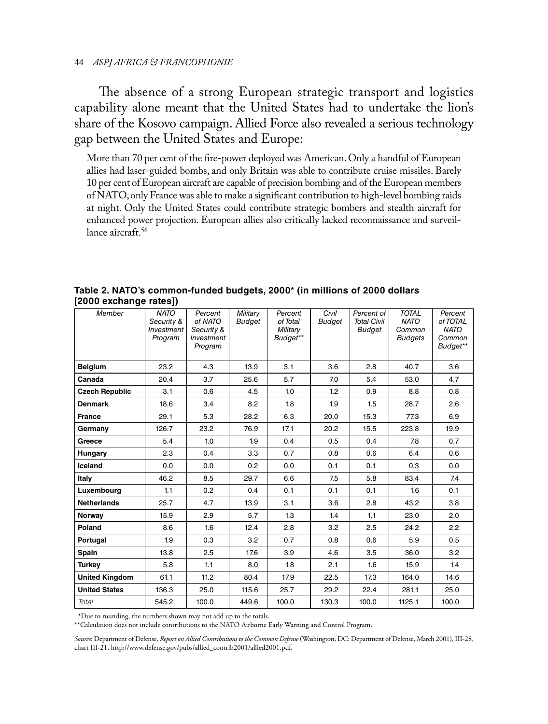The absence of a strong European strategic transport and logistics capability alone meant that the United States had to undertake the lion's share of the Kosovo campaign. Allied Force also revealed a serious technology gap between the United States and Europe:

More than 70 per cent of the fire-power deployed was American. Only a handful of European allies had laser-guided bombs, and only Britain was able to contribute cruise missiles. Barely 10 per cent of European aircraft are capable of precision bombing and of the European members of NATO, only France was able to make a significant contribution to high-level bombing raids at night. Only the United States could contribute strategic bombers and stealth aircraft for enhanced power projection. European allies also critically lacked reconnaissance and surveillance aircraft.<sup>56</sup>

| Member                | <b>NATO</b><br>Security &<br>Investment<br>Program | Percent<br>of NATO<br>Security &<br>Investment<br>Program | Military<br><b>Budget</b> | Percent<br>of Total<br>Military<br>Budget** | Civil<br>Budget | Percent of<br><b>Total Civil</b><br><b>Budget</b> | <b>TOTAL</b><br><b>NATO</b><br>Common<br><b>Budgets</b> | Percent<br>of TOTAL<br><b>NATO</b><br>Common<br>Budget** |
|-----------------------|----------------------------------------------------|-----------------------------------------------------------|---------------------------|---------------------------------------------|-----------------|---------------------------------------------------|---------------------------------------------------------|----------------------------------------------------------|
| <b>Belgium</b>        | 23.2                                               | 4.3                                                       | 13.9                      | 3.1                                         | 3.6             | 2.8                                               | 40.7                                                    | 3.6                                                      |
| Canada                | 20.4                                               | 3.7                                                       | 25.6                      | 5.7                                         | 7.0             | 5.4                                               | 53.0                                                    | 4.7                                                      |
| <b>Czech Republic</b> | 3.1                                                | 0.6                                                       | 4.5                       | 1.0                                         | 1.2             | 0.9                                               | 8.8                                                     | 0.8                                                      |
| <b>Denmark</b>        | 18.6                                               | 3.4                                                       | 8.2                       | 1.8                                         | 1.9             | 1.5                                               | 28.7                                                    | 2.6                                                      |
| <b>France</b>         | 29.1                                               | 5.3                                                       | 28.2                      | 6.3                                         | 20.0            | 15.3                                              | 77.3                                                    | 6.9                                                      |
| Germany               | 126.7                                              | 23.2                                                      | 76.9                      | 17.1                                        | 20.2            | 15.5                                              | 223.8                                                   | 19.9                                                     |
| Greece                | 5.4                                                | 1.0                                                       | 1.9                       | 0.4                                         | 0.5             | 0.4                                               | 7.8                                                     | 0.7                                                      |
| Hungary               | 2.3                                                | 0.4                                                       | 3.3                       | 0.7                                         | 0.8             | 0.6                                               | 6.4                                                     | 0.6                                                      |
| Iceland               | 0.0                                                | 0.0                                                       | 0.2                       | 0.0                                         | 0.1             | 0.1                                               | 0.3                                                     | 0.0                                                      |
| Italy                 | 46.2                                               | 8.5                                                       | 29.7                      | 6.6                                         | 7.5             | 5.8                                               | 83.4                                                    | 7.4                                                      |
| Luxembourg            | 1.1                                                | 0.2                                                       | 0.4                       | 0.1                                         | 0.1             | 0.1                                               | 1.6                                                     | 0.1                                                      |
| <b>Netherlands</b>    | 25.7                                               | 4.7                                                       | 13.9                      | 3.1                                         | 3.6             | 2.8                                               | 43.2                                                    | 3.8                                                      |
| Norway                | 15.9                                               | 2.9                                                       | 5.7                       | 1.3                                         | 1.4             | 1.1                                               | 23.0                                                    | 2.0                                                      |
| Poland                | 8.6                                                | 1.6                                                       | 12.4                      | 2.8                                         | 3.2             | 2.5                                               | 24.2                                                    | 2.2                                                      |
| Portugal              | 1.9                                                | 0.3                                                       | 3.2                       | 0.7                                         | 0.8             | 0.6                                               | 5.9                                                     | 0.5                                                      |
| Spain                 | 13.8                                               | 2.5                                                       | 17.6                      | 3.9                                         | 4.6             | 3.5                                               | 36.0                                                    | 3.2                                                      |
| <b>Turkey</b>         | 5.8                                                | 1.1                                                       | 8.0                       | 1.8                                         | 2.1             | 1.6                                               | 15.9                                                    | 1.4                                                      |
| <b>United Kingdom</b> | 61.1                                               | 11.2                                                      | 80.4                      | 17.9                                        | 22.5            | 17.3                                              | 164.0                                                   | 14.6                                                     |
| <b>United States</b>  | 136.3                                              | 25.0                                                      | 115.6                     | 25.7                                        | 29.2            | 22.4                                              | 281.1                                                   | 25.0                                                     |
| Total                 | 545.2                                              | 100.0                                                     | 449.6                     | 100.0                                       | 130.3           | 100.0                                             | 1125.1                                                  | 100.0                                                    |

**Table 2. NATO's common-funded budgets, 2000\* (in millions of 2000 dollars [2000 exchange rates])**

\*Due to rounding, the numbers shown may not add up to the totals.

\*\*Calculation does not include contributions to the NATO Airborne Early Warning and Control Program.

*Source*: Department of Defense, *Report on Allied Contributions to the Common Defense* (Washington, DC: Department of Defense, March 2001), III-28, chart III-21, http://www.defense.gov/pubs/allied\_contrib2001/allied2001.pdf.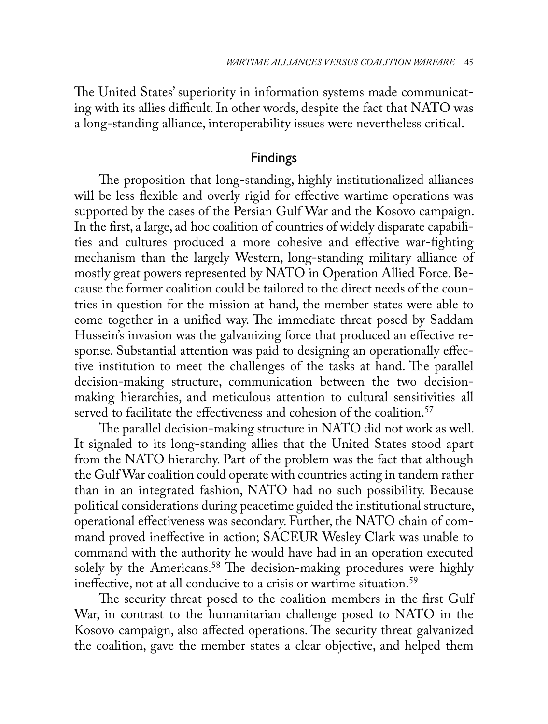The United States' superiority in information systems made communicating with its allies difficult. In other words, despite the fact that NATO was a long-standing alliance, interoperability issues were nevertheless critical.

## Findings

The proposition that long-standing, highly institutionalized alliances will be less flexible and overly rigid for effective wartime operations was supported by the cases of the Persian Gulf War and the Kosovo campaign. In the first, a large, ad hoc coalition of countries of widely disparate capabilities and cultures produced a more cohesive and effective war-fighting mechanism than the largely Western, long-standing military alliance of mostly great powers represented by NATO in Operation Allied Force. Because the former coalition could be tailored to the direct needs of the countries in question for the mission at hand, the member states were able to come together in a unified way. The immediate threat posed by Saddam Hussein's invasion was the galvanizing force that produced an effective response. Substantial attention was paid to designing an operationally effective institution to meet the challenges of the tasks at hand. The parallel decision-making structure, communication between the two decisionmaking hierarchies, and meticulous attention to cultural sensitivities all served to facilitate the effectiveness and cohesion of the coalition.<sup>57</sup>

The parallel decision-making structure in NATO did not work as well. It signaled to its long-standing allies that the United States stood apart from the NATO hierarchy. Part of the problem was the fact that although the Gulf War coalition could operate with countries acting in tandem rather than in an integrated fashion, NATO had no such possibility. Because political considerations during peacetime guided the institutional structure, operational effectiveness was secondary. Further, the NATO chain of command proved ineffective in action; SACEUR Wesley Clark was unable to command with the authority he would have had in an operation executed solely by the Americans.<sup>58</sup> The decision-making procedures were highly ineffective, not at all conducive to a crisis or wartime situation.<sup>59</sup>

The security threat posed to the coalition members in the first Gulf War, in contrast to the humanitarian challenge posed to NATO in the Kosovo campaign, also affected operations. The security threat galvanized the coalition, gave the member states a clear objective, and helped them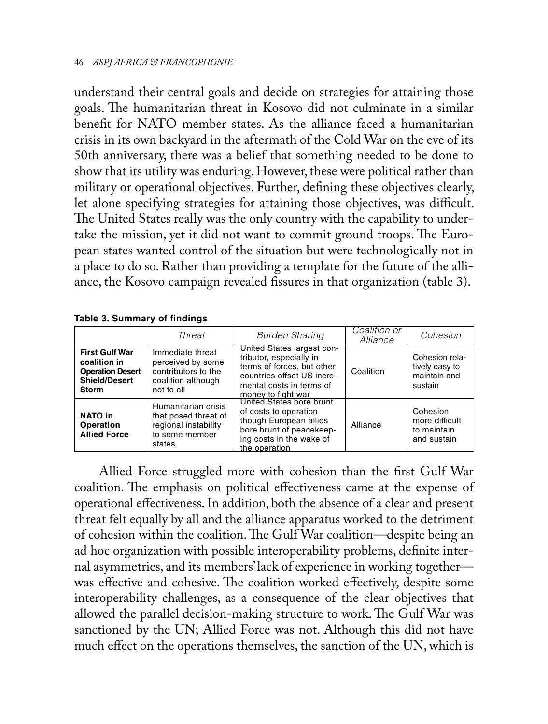understand their central goals and decide on strategies for attaining those goals. The humanitarian threat in Kosovo did not culminate in a similar benefit for NATO member states. As the alliance faced a humanitarian crisis in its own backyard in the aftermath of the Cold War on the eve of its 50th anniversary, there was a belief that something needed to be done to show that its utility was enduring. However, these were political rather than military or operational objectives. Further, defining these objectives clearly, let alone specifying strategies for attaining those objectives, was difficult. The United States really was the only country with the capability to undertake the mission, yet it did not want to commit ground troops. The European states wanted control of the situation but were technologically not in a place to do so. Rather than providing a template for the future of the alliance, the Kosovo campaign revealed fissures in that organization (table 3).

**Table 3. Summary of findings**

|                                                                                                          | Threat                                                                                           | <b>Burden Sharing</b>                                                                                                                                               | Coalition or<br>Alliance | Cohesion                                                    |
|----------------------------------------------------------------------------------------------------------|--------------------------------------------------------------------------------------------------|---------------------------------------------------------------------------------------------------------------------------------------------------------------------|--------------------------|-------------------------------------------------------------|
| <b>First Gulf War</b><br>coalition in<br><b>Operation Desert</b><br><b>Shield/Desert</b><br><b>Storm</b> | Immediate threat<br>perceived by some<br>contributors to the<br>coalition although<br>not to all | United States largest con-<br>tributor, especially in<br>terms of forces, but other<br>countries offset US incre-<br>mental costs in terms of<br>money to fight war | Coalition                | Cohesion rela-<br>tively easy to<br>maintain and<br>sustain |
| <b>NATO in</b><br>Operation<br><b>Allied Force</b>                                                       | Humanitarian crisis<br>that posed threat of<br>regional instability<br>to some member<br>states  | United States bore brunt<br>of costs to operation<br>though European allies<br>bore brunt of peacekeep-<br>ing costs in the wake of<br>the operation                | Alliance                 | Cohesion<br>more difficult<br>to maintain<br>and sustain    |

Allied Force struggled more with cohesion than the first Gulf War coalition. The emphasis on political effectiveness came at the expense of operational effectiveness. In addition, both the absence of a clear and present threat felt equally by all and the alliance apparatus worked to the detriment of cohesion within the coalition. The Gulf War coalition—despite being an ad hoc organization with possible interoperability problems, definite internal asymmetries, and its members' lack of experience in working together was effective and cohesive. The coalition worked effectively, despite some interoperability challenges, as a consequence of the clear objectives that allowed the parallel decision-making structure to work. The Gulf War was sanctioned by the UN; Allied Force was not. Although this did not have much effect on the operations themselves, the sanction of the UN, which is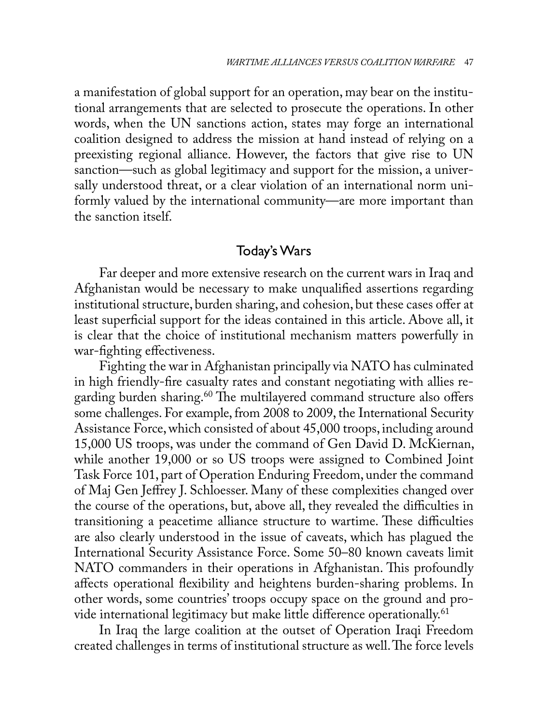a manifestation of global support for an operation, may bear on the institutional arrangements that are selected to prosecute the operations. In other words, when the UN sanctions action, states may forge an international coalition designed to address the mission at hand instead of relying on a preexisting regional alliance. However, the factors that give rise to UN sanction—such as global legitimacy and support for the mission, a universally understood threat, or a clear violation of an international norm uniformly valued by the international community—are more important than the sanction itself.

## Today's Wars

Far deeper and more extensive research on the current wars in Iraq and Afghanistan would be necessary to make unqualified assertions regarding institutional structure, burden sharing, and cohesion, but these cases offer at least superficial support for the ideas contained in this article. Above all, it is clear that the choice of institutional mechanism matters powerfully in war-fighting effectiveness.

Fighting the war in Afghanistan principally via NATO has culminated in high friendly-fire casualty rates and constant negotiating with allies regarding burden sharing.<sup>60</sup> The multilayered command structure also offers some challenges. For example, from 2008 to 2009, the International Security Assistance Force, which consisted of about 45,000 troops, including around 15,000 US troops, was under the command of Gen David D. McKiernan, while another 19,000 or so US troops were assigned to Combined Joint Task Force 101, part of Operation Enduring Freedom, under the command of Maj Gen Jeffrey J. Schloesser. Many of these complexities changed over the course of the operations, but, above all, they revealed the difficulties in transitioning a peacetime alliance structure to wartime. These difficulties are also clearly understood in the issue of caveats, which has plagued the International Security Assistance Force. Some 50–80 known caveats limit NATO commanders in their operations in Afghanistan. This profoundly affects operational flexibility and heightens burden-sharing problems. In other words, some countries' troops occupy space on the ground and provide international legitimacy but make little difference operationally.<sup>61</sup>

In Iraq the large coalition at the outset of Operation Iraqi Freedom created challenges in terms of institutional structure as well. The force levels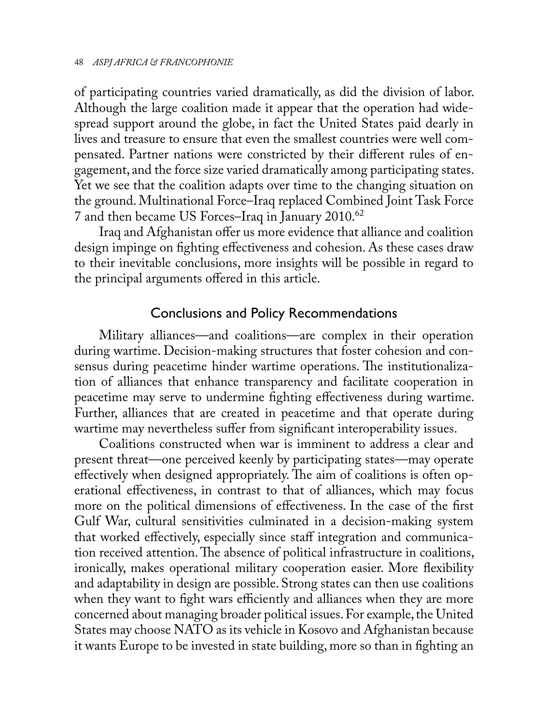of participating countries varied dramatically, as did the division of labor. Although the large coalition made it appear that the operation had widespread support around the globe, in fact the United States paid dearly in lives and treasure to ensure that even the smallest countries were well compensated. Partner nations were constricted by their different rules of engagement, and the force size varied dramatically among participating states. Yet we see that the coalition adapts over time to the changing situation on the ground. Multinational Force–Iraq replaced Combined Joint Task Force 7 and then became US Forces–Iraq in January 2010.62

Iraq and Afghanistan offer us more evidence that alliance and coalition design impinge on fighting effectiveness and cohesion. As these cases draw to their inevitable conclusions, more insights will be possible in regard to the principal arguments offered in this article.

## Conclusions and Policy Recommendations

Military alliances—and coalitions—are complex in their operation during wartime. Decision-making structures that foster cohesion and consensus during peacetime hinder wartime operations. The institutionalization of alliances that enhance transparency and facilitate cooperation in peacetime may serve to undermine fighting effectiveness during wartime. Further, alliances that are created in peacetime and that operate during wartime may nevertheless suffer from significant interoperability issues.

Coalitions constructed when war is imminent to address a clear and present threat—one perceived keenly by participating states—may operate effectively when designed appropriately. The aim of coalitions is often operational effectiveness, in contrast to that of alliances, which may focus more on the political dimensions of effectiveness. In the case of the first Gulf War, cultural sensitivities culminated in a decision-making system that worked effectively, especially since staff integration and communication received attention. The absence of political infrastructure in coalitions, ironically, makes operational military cooperation easier. More flexibility and adaptability in design are possible. Strong states can then use coalitions when they want to fight wars efficiently and alliances when they are more concerned about managing broader political issues. For example, the United States may choose NATO as its vehicle in Kosovo and Afghanistan because it wants Europe to be invested in state building, more so than in fighting an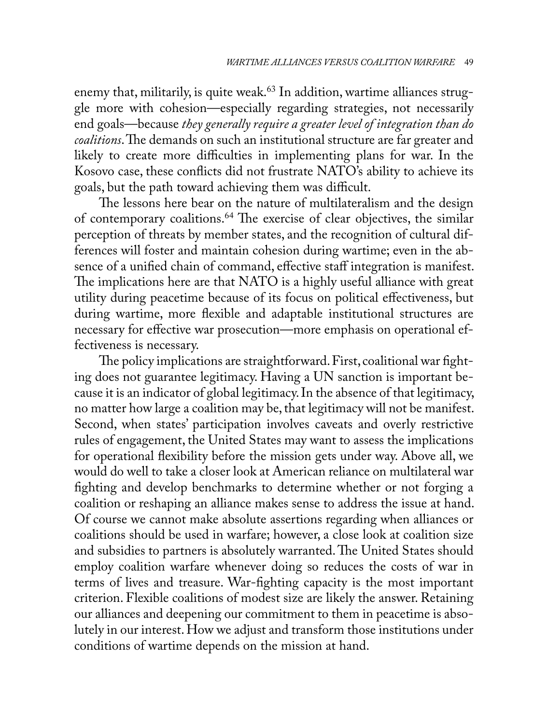enemy that, militarily, is quite weak.<sup>63</sup> In addition, wartime alliances struggle more with cohesion—especially regarding strategies, not necessarily end goals—because *they generally require a greater level of integration than do coalitions*. The demands on such an institutional structure are far greater and likely to create more difficulties in implementing plans for war. In the Kosovo case, these conflicts did not frustrate NATO's ability to achieve its goals, but the path toward achieving them was difficult.

The lessons here bear on the nature of multilateralism and the design of contemporary coalitions.64 The exercise of clear objectives, the similar perception of threats by member states, and the recognition of cultural differences will foster and maintain cohesion during wartime; even in the absence of a unified chain of command, effective staff integration is manifest. The implications here are that NATO is a highly useful alliance with great utility during peacetime because of its focus on political effectiveness, but during wartime, more flexible and adaptable institutional structures are necessary for effective war prosecution—more emphasis on operational effectiveness is necessary.

The policy implications are straightforward. First, coalitional war fighting does not guarantee legitimacy. Having a UN sanction is important because it is an indicator of global legitimacy. In the absence of that legitimacy, no matter how large a coalition may be, that legitimacy will not be manifest. Second, when states' participation involves caveats and overly restrictive rules of engagement, the United States may want to assess the implications for operational flexibility before the mission gets under way. Above all, we would do well to take a closer look at American reliance on multilateral war fighting and develop benchmarks to determine whether or not forging a coalition or reshaping an alliance makes sense to address the issue at hand. Of course we cannot make absolute assertions regarding when alliances or coalitions should be used in warfare; however, a close look at coalition size and subsidies to partners is absolutely warranted. The United States should employ coalition warfare whenever doing so reduces the costs of war in terms of lives and treasure. War-fighting capacity is the most important criterion. Flexible coalitions of modest size are likely the answer. Retaining our alliances and deepening our commitment to them in peacetime is absolutely in our interest. How we adjust and transform those institutions under conditions of wartime depends on the mission at hand.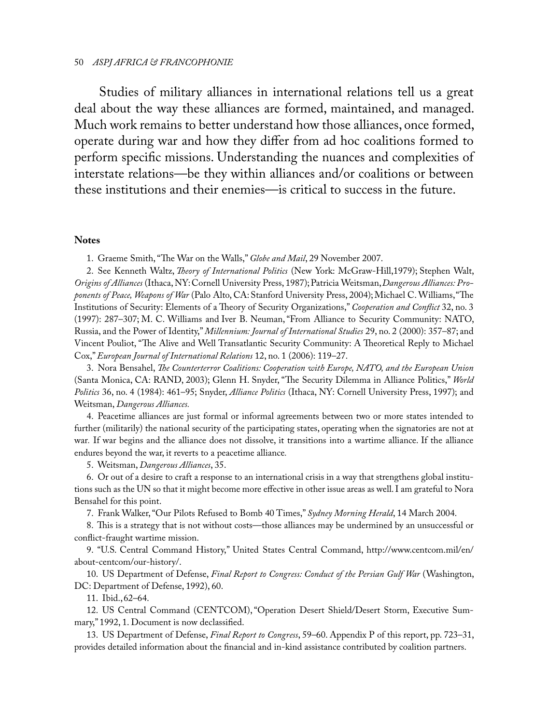#### 50 *ASPJ AFRICA & FRANCOPHONIE*

Studies of military alliances in international relations tell us a great deal about the way these alliances are formed, maintained, and managed. Much work remains to better understand how those alliances, once formed, operate during war and how they differ from ad hoc coalitions formed to perform specific missions. Understanding the nuances and complexities of interstate relations—be they within alliances and/or coalitions or between these institutions and their enemies—is critical to success in the future.

### **Notes**

1. Graeme Smith, "The War on the Walls," *Globe and Mail*, 29 November 2007.

2. See Kenneth Waltz, *Theory of International Politics* (New York: McGraw-Hill,1979); Stephen Walt, *Origins of Alliances* (Ithaca, NY:Cornell University Press, 1987);Patricia Weitsman,*Dangerous Alliances: Proponents of Peace, Weapons of War* (Palo Alto, CA:Stanford University Press, 2004);Michael C. Williams,"The Institutions of Security: Elements of a Theory of Security Organizations," *Cooperation and Conflict* 32, no. 3 (1997): 287–307; M. C. Williams and Iver B. Neuman,"From Alliance to Security Community: NATO, Russia, and the Power of Identity," *Millennium: Journal of International Studies* 29, no. 2 (2000): 357–87; and Vincent Pouliot, "The Alive and Well Transatlantic Security Community: A Theoretical Reply to Michael Cox," *European Journal of International Relations* 12, no. 1 (2006): 119–27.

3. Nora Bensahel, *The Counterterror Coalitions: Cooperation with Europe, NATO, and the European Union* (Santa Monica, CA: RAND, 2003); Glenn H. Snyder, "The Security Dilemma in Alliance Politics," *World Politics* 36, no. 4 (1984): 461–95; Snyder, *Alliance Politics* (Ithaca, NY: Cornell University Press, 1997); and Weitsman, *Dangerous Alliances.*

4. Peacetime alliances are just formal or informal agreements between two or more states intended to further (militarily) the national security of the participating states, operating when the signatories are not at war*.* If war begins and the alliance does not dissolve, it transitions into a wartime alliance. If the alliance endures beyond the war, it reverts to a peacetime alliance*.*

5. Weitsman, *Dangerous Alliances*, 35.

6. Or out of a desire to craft a response to an international crisis in a way that strengthens global institutions such as the UN so that it might become more effective in other issue areas as well. I am grateful to Nora Bensahel for this point.

7. Frank Walker, "Our Pilots Refused to Bomb 40 Times," *Sydney Morning Herald*, 14 March 2004.

8. This is a strategy that is not without costs—those alliances may be undermined by an unsuccessful or conflict-fraught wartime mission.

9. "U.S. Central Command History," United States Central Command, http://www.centcom.mil/en/ about-centcom/our-history/.

10. US Department of Defense, *Final Report to Congress: Conduct of the Persian Gulf War* (Washington, DC: Department of Defense, 1992), 60.

11. Ibid.,62–64.

12. US Central Command (CENTCOM),"Operation Desert Shield/Desert Storm, Executive Summary," 1992, 1. Document is now declassified.

13. US Department of Defense, *Final Report to Congress*, 59–60. Appendix P of this report, pp. 723–31, provides detailed information about the financial and in-kind assistance contributed by coalition partners.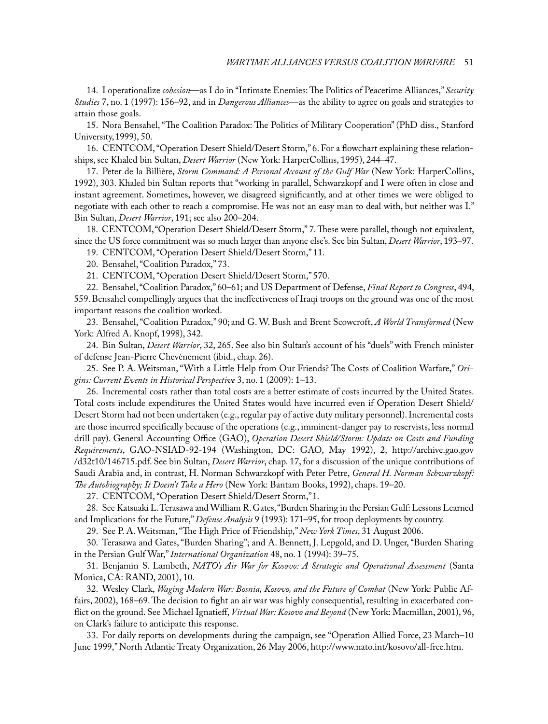14. I operationalize *cohesion*—as I do in "Intimate Enemies: The Politics of Peacetime Alliances," *Security Studies* 7, no. 1 (1997): 156–92, and in *Dangerous Alliances*—as the ability to agree on goals and strategies to attain those goals.

15. Nora Bensahel, "The Coalition Paradox: The Politics of Military Cooperation" (PhD diss., Stanford University,1999), 50.

16. CENTCOM, "Operation Desert Shield/Desert Storm," 6. For a flowchart explaining these relationships, see Khaled bin Sultan, *Desert Warrior* (New York: HarperCollins, 1995), 244–47.

17. Peter de la Billière, *Storm Command: A Personal Account of the Gulf War* (New York: HarperCollins, 1992), 303. Khaled bin Sultan reports that "working in parallel, Schwarzkopf and I were often in close and instant agreement. Sometimes, however, we disagreed significantly, and at other times we were obliged to negotiate with each other to reach a compromise. He was not an easy man to deal with, but neither was I." Bin Sultan, *Desert Warrior*, 191; see also 200–204.

18. CENTCOM,"Operation Desert Shield/Desert Storm," 7. These were parallel, though not equivalent, since the US force commitment was so much larger than anyone else's. See bin Sultan, *Desert Warrior*, 193–97.

19. CENTCOM, "Operation Desert Shield/Desert Storm," 11.

20. Bensahel, "Coalition Paradox," 73.

21. CENTCOM, "Operation Desert Shield/Desert Storm," 570.

22. Bensahel, "Coalition Paradox," 60–61; and US Department of Defense, *Final Report to Congress*, 494, 559. Bensahel compellingly argues that the ineffectiveness of Iraqi troops on the ground was one of the most important reasons the coalition worked.

23. Bensahel, "Coalition Paradox," 90; and G. W. Bush and Brent Scowcroft, *A World Transformed* (New York: Alfred A. Knopf, 1998), 342.

24. Bin Sultan, *Desert Warrior*, 32, 265. See also bin Sultan's account of his "duels" with French minister of defense Jean-Pierre Chevènement (ibid., chap. 26).

25. See P. A. Weitsman, "With a Little Help from Our Friends? The Costs of Coalition Warfare," *Origins: Current Events in Historical Perspective* 3, no. 1 (2009): 1–13.

26. Incremental costs rather than total costs are a better estimate of costs incurred by the United States. Total costs include expenditures the United States would have incurred even if Operation Desert Shield/ Desert Storm had not been undertaken (e.g., regular pay of active duty military personnel). Incremental costs are those incurred specifically because of the operations (e.g., imminent-danger pay to reservists, less normal drill pay). General Accounting Office (GAO), *Operation Desert Shield/Storm: Update on Costs and Funding Requirements*, GAO-NSIAD-92-194 (Washington, DC: GAO, May 1992), 2, http://archive.gao.gov /d32t10/146715.pdf. See bin Sultan, *Desert Warrior*, chap. 17, for a discussion of the unique contributions of Saudi Arabia and, in contrast, H. Norman Schwarzkopf with Peter Petre, *General H. Norman Schwarzkopf: The Autobiography; It Doesn't Take a Hero* (New York: Bantam Books, 1992), chaps. 19–20.

27. CENTCOM, "Operation Desert Shield/Desert Storm,"1.

28. See Katsuaki L. Terasawa and William R. Gates, "Burden Sharing in the Persian Gulf: Lessons Learned and Implications for the Future," *Defense Analysis* 9 (1993): 171–95, for troop deployments by country.

29. See P. A. Weitsman, "The High Price of Friendship," *New York Times*, 31 August 2006.

30. Terasawa and Gates, "Burden Sharing"; and A. Bennett, J. Lepgold, and D. Unger, "Burden Sharing in the Persian Gulf War," *International Organization* 48, no. 1 (1994): 39–75.

31. Benjamin S. Lambeth, *NATO's Air War for Kosovo: A Strategic and Operational Assessment* (Santa Monica, CA: RAND, 2001), 10.

32. Wesley Clark, *Waging Modern War: Bosnia, Kosovo, and the Future of Combat* (New York: Public Affairs, 2002), 168–69. The decision to fight an air war was highly consequential, resulting in exacerbated conflict on the ground. See Michael Ignatieff, *Virtual War: Kosovo and Beyond* (New York: Macmillan, 2001), 96, on Clark's failure to anticipate this response.

33. For daily reports on developments during the campaign, see "Operation Allied Force, 23 March–10 June 1999," North Atlantic Treaty Organization, 26 May 2006, http://www.nato.int/kosovo/all-frce.htm.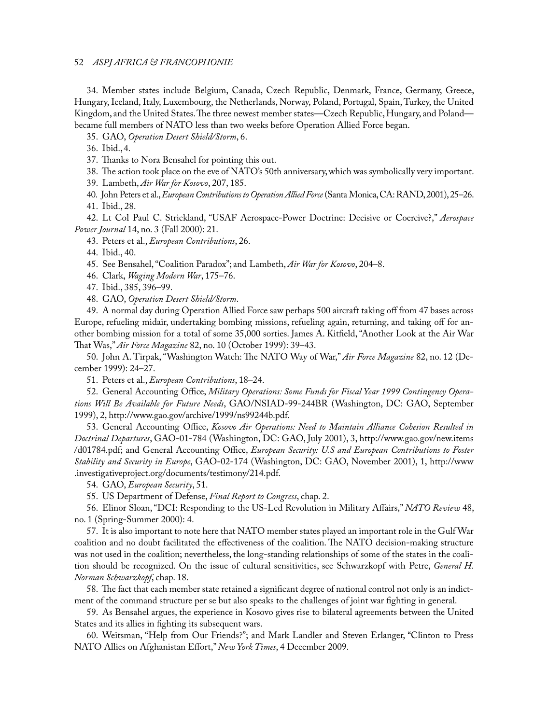52 *ASPJ AFRICA & FRANCOPHONIE*

34. Member states include Belgium, Canada, Czech Republic, Denmark, France, Germany, Greece, Hungary, Iceland, Italy, Luxembourg, the Netherlands, Norway, Poland, Portugal, Spain, Turkey, the United Kingdom, and the United States. The three newest member states—Czech Republic, Hungary, and Poland became full members of NATO less than two weeks before Operation Allied Force began.

35. GAO, *Operation Desert Shield/Storm*, 6.

36. Ibid.,4.

37. Thanks to Nora Bensahel for pointing this out.

38. The action took place on the eve of NATO's 50th anniversary, which was symbolically very important.

39. Lambeth, *Air War for Kosovo*, 207, 185.

40. John Peters et al., *European Contributions to Operation Allied Force* (Santa Monica, CA: RAND, 2001), 25–26. 41. Ibid., 28.

42. Lt Col Paul C. Strickland, "USAF Aerospace-Power Doctrine: Decisive or Coercive?," *Aerospace Power Journal* 14, no. 3 (Fall 2000): 21.

43. Peters et al., *European Contributions*, 26.

44. Ibid., 40.

45. See Bensahel, "Coalition Paradox"; and Lambeth, *Air War for Kosovo*, 204–8.

46. Clark, *Waging Modern War*, 175–76.

47. Ibid., 385, 396–99.

48. GAO, *Operation Desert Shield/Storm*.

49. A normal day during Operation Allied Force saw perhaps 500 aircraft taking off from 47 bases across Europe, refueling midair, undertaking bombing missions, refueling again, returning, and taking off for another bombing mission for a total of some 35,000 sorties. James A. Kitfield, "Another Look at the Air War That Was," *Air Force Magazine* 82, no. 10 (October 1999): 39–43.

50. John A. Tirpak, "Washington Watch: The NATO Way of War," *Air Force Magazine* 82, no. 12 (December 1999): 24–27.

51. Peters et al., *European Contributions*, 18–24.

52. General Accounting Office, *Military Operations: Some Funds for Fiscal Year 1999 Contingency Operations Will Be Available for Future Needs*, GAO/NSIAD-99-244BR (Washington, DC: GAO, September 1999), 2, http://www.gao.gov/archive/1999/ns99244b.pdf.

53. General Accounting Office, *Kosovo Air Operations: Need to Maintain Alliance Cohesion Resulted in Doctrinal Departures*, GAO-01-784 (Washington, DC: GAO, July 2001), 3, http://www.gao.gov/new.items /d01784.pdf; and General Accounting Office, *European Security: U.S and European Contributions to Foster Stability and Security in Europe*, GAO-02-174 (Washington, DC: GAO, November 2001), 1, http://www .investigativeproject.org/documents/testimony/214.pdf.

54. GAO, *European Security*, 51.

55. US Department of Defense, *Final Report to Congress*, chap. 2.

56. Elinor Sloan, "DCI: Responding to the US-Led Revolution in Military Affairs," *NATO Review* 48, no. 1 (Spring-Summer 2000): 4.

57. It is also important to note here that NATO member states played an important role in the Gulf War coalition and no doubt facilitated the effectiveness of the coalition. The NATO decision-making structure was not used in the coalition; nevertheless, the long-standing relationships of some of the states in the coalition should be recognized. On the issue of cultural sensitivities, see Schwarzkopf with Petre, *General H. Norman Schwarzkopf*, chap. 18.

58. The fact that each member state retained a significant degree of national control not only is an indictment of the command structure per se but also speaks to the challenges of joint war fighting in general.

59. As Bensahel argues, the experience in Kosovo gives rise to bilateral agreements between the United States and its allies in fighting its subsequent wars.

60. Weitsman, "Help from Our Friends?"; and Mark Landler and Steven Erlanger, "Clinton to Press NATO Allies on Afghanistan Effort," *New York Times*, 4 December 2009.